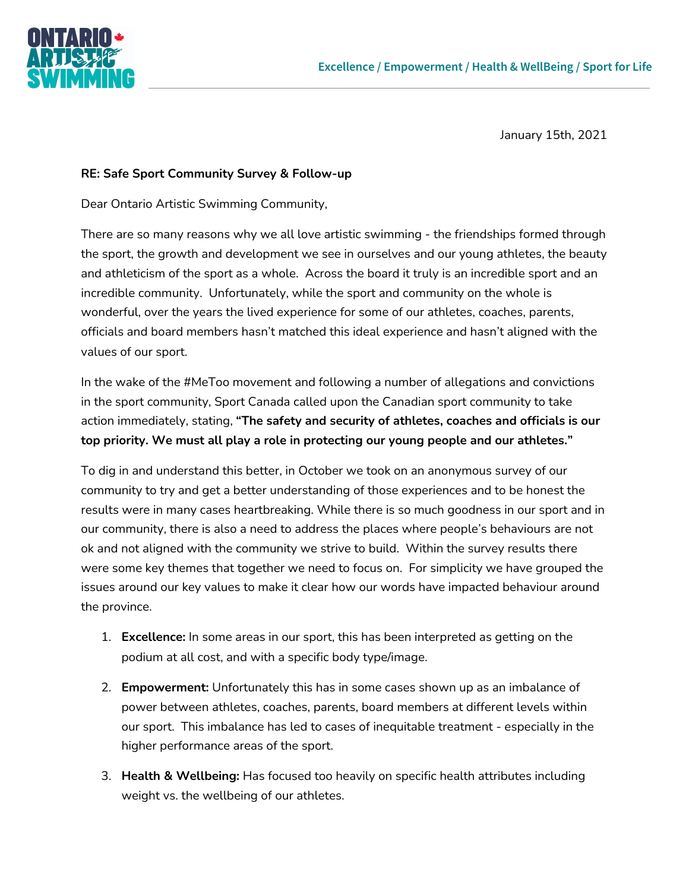

January 15th, 2021

## **RE: Safe Sport Community Survey & Follow-up**

Dear Ontario Artistic Swimming Community,

There are so many reasons why we all love artistic swimming - the friendships formed through the sport, the growth and development we see in ourselves and our young athletes, the beauty and athleticism of the sport as a whole. Across the board it truly is an incredible sport and an incredible community. Unfortunately, while the sport and community on the whole is wonderful, over the years the lived experience for some of our athletes, coaches, parents, officials and board members hasn't matched this ideal experience and hasn't aligned with the values of our sport.

In the wake of the #MeToo movement and following a number of allegations and convictions in the sport community, Sport Canada called upon the Canadian sport community to take action immediately, stating, **"The safety and security of athletes, coaches and officials is our top priority. We must all play a role in protecting our young people and our athletes."**

To dig in and understand this better, in October we took on an anonymous survey of our community to try and get a better understanding of those experiences and to be honest the results were in many cases heartbreaking. While there is so much goodness in our sport and in our community, there is also a need to address the places where people's behaviours are not ok and not aligned with the community we strive to build. Within the survey results there were some key themes that together we need to focus on. For simplicity we have grouped the issues around our key values to make it clear how our words have impacted behaviour around the province.

- 1. **Excellence:** In some areas in our sport, this has been interpreted as getting on the podium at all cost, and with a specific body type/image.
- 2. **Empowerment:** Unfortunately this has in some cases shown up as an imbalance of power between athletes, coaches, parents, board members at different levels within our sport. This imbalance has led to cases of inequitable treatment - especially in the higher performance areas of the sport.
- 3. **Health & Wellbeing:** Has focused too heavily on specific health attributes including weight vs. the wellbeing of our athletes.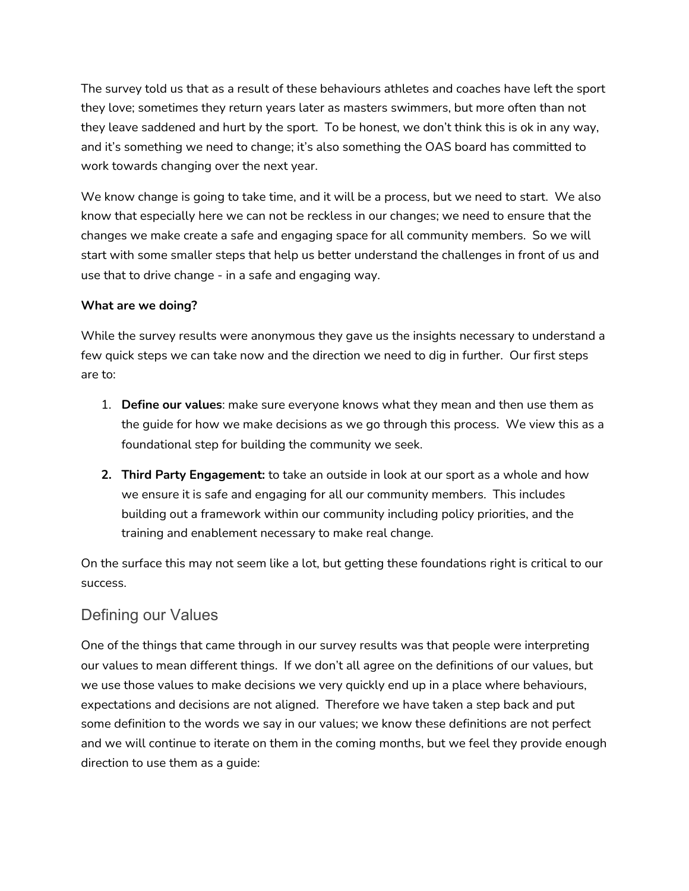The survey told us that as a result of these behaviours athletes and coaches have left the sport they love; sometimes they return years later as masters swimmers, but more often than not they leave saddened and hurt by the sport. To be honest, we don't think this is ok in any way, and it's something we need to change; it's also something the OAS board has committed to work towards changing over the next year.

We know change is going to take time, and it will be a process, but we need to start. We also know that especially here we can not be reckless in our changes; we need to ensure that the changes we make create a safe and engaging space for all community members. So we will start with some smaller steps that help us better understand the challenges in front of us and use that to drive change - in a safe and engaging way.

## **What are we doing?**

While the survey results were anonymous they gave us the insights necessary to understand a few quick steps we can take now and the direction we need to dig in further. Our first steps are to:

- 1. **Define our values**: make sure everyone knows what they mean and then use them as the guide for how we make decisions as we go through this process. We view this as a foundational step for building the community we seek.
- **2. Third Party Engagement:** to take an outside in look at our sport as a whole and how we ensure it is safe and engaging for all our community members. This includes building out a framework within our community including policy priorities, and the training and enablement necessary to make real change.

On the surface this may not seem like a lot, but getting these foundations right is critical to our success.

## Defining our Values

One of the things that came through in our survey results was that people were interpreting our values to mean different things. If we don't all agree on the definitions of our values, but we use those values to make decisions we very quickly end up in a place where behaviours, expectations and decisions are not aligned. Therefore we have taken a step back and put some definition to the words we say in our values; we know these definitions are not perfect and we will continue to iterate on them in the coming months, but we feel they provide enough direction to use them as a guide: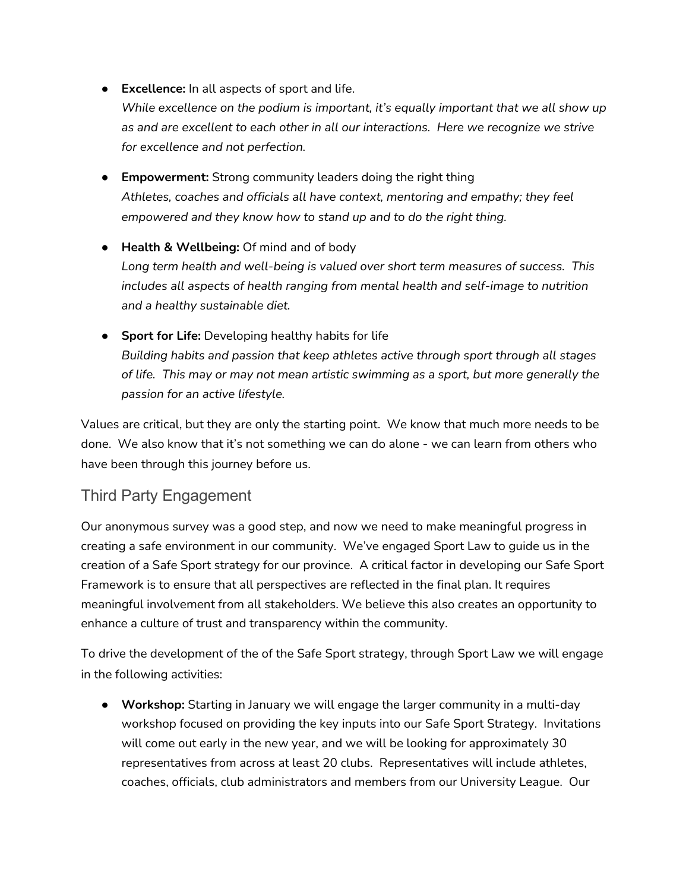- **Excellence:** In all aspects of sport and life. *While excellence on the podium is important, it's equally important that we all show up as and are excellent to each other in all our interactions. Here we recognize we strive for excellence and not perfection.*
- **Empowerment:** Strong community leaders doing the right thing *Athletes, coaches and officials all have context, mentoring and empathy; they feel empowered and they know how to stand up and to do the right thing.*
- **Health & Wellbeing:** Of mind and of body *Long term health and well-being is valued over short term measures of success. This includes all aspects of health ranging from mental health and self-image to nutrition and a healthy sustainable diet.*
- **Sport for Life:** Developing healthy habits for life *Building habits and passion that keep athletes active through sport through all stages of life. This may or may not mean artistic swimming as a sport, but more generally the passion for an active lifestyle.*

Values are critical, but they are only the starting point. We know that much more needs to be done. We also know that it's not something we can do alone - we can learn from others who have been through this journey before us.

## Third Party Engagement

Our anonymous survey was a good step, and now we need to make meaningful progress in creating a safe environment in our community. We've engaged Sport Law to guide us in the creation of a Safe Sport strategy for our province. A critical factor in developing our Safe Sport Framework is to ensure that all perspectives are reflected in the final plan. It requires meaningful involvement from all stakeholders. We believe this also creates an opportunity to enhance a culture of trust and transparency within the community.

To drive the development of the of the Safe Sport strategy, through Sport Law we will engage in the following activities:

● **Workshop:** Starting in January we will engage the larger community in a multi-day workshop focused on providing the key inputs into our Safe Sport Strategy. Invitations will come out early in the new year, and we will be looking for approximately 30 representatives from across at least 20 clubs. Representatives will include athletes, coaches, officials, club administrators and members from our University League. Our